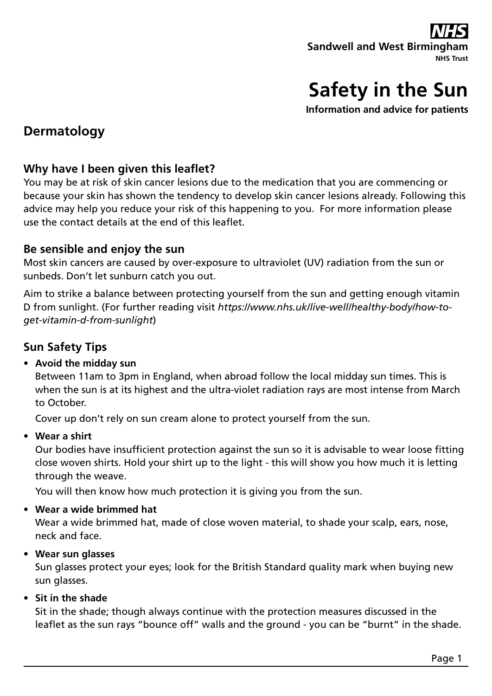# **Safety in the Sun**

**Information and advice for patients** 

## **Dermatology**

## **Why have I been given this leaflet?**

You may be at risk of skin cancer lesions due to the medication that you are commencing or because your skin has shown the tendency to develop skin cancer lesions already. Following this advice may help you reduce your risk of this happening to you. For more information please use the contact details at the end of this leaflet.

## **Be sensible and enjoy the sun**

Most skin cancers are caused by over-exposure to ultraviolet (UV) radiation from the sun or sunbeds. Don't let sunburn catch you out.

Aim to strike a balance between protecting yourself from the sun and getting enough vitamin D from sunlight. (For further reading visit *https://www.nhs.uk/live-well/healthy-body/how-toget-vitamin-d-from-sunlight*)

## **Sun Safety Tips**

## **• Avoid the midday sun**

Between 11am to 3pm in England, when abroad follow the local midday sun times. This is when the sun is at its highest and the ultra-violet radiation rays are most intense from March to October.

Cover up don't rely on sun cream alone to protect yourself from the sun.

**• Wear a shirt**

Our bodies have insufficient protection against the sun so it is advisable to wear loose fitting close woven shirts. Hold your shirt up to the light - this will show you how much it is letting through the weave.

You will then know how much protection it is giving you from the sun.

#### **• Wear a wide brimmed hat**

Wear a wide brimmed hat, made of close woven material, to shade your scalp, ears, nose, neck and face.

## **• Wear sun glasses**

Sun glasses protect your eyes; look for the British Standard quality mark when buying new sun glasses.

#### **• Sit in the shade**

Sit in the shade; though always continue with the protection measures discussed in the leaflet as the sun rays "bounce off" walls and the ground - you can be "burnt" in the shade.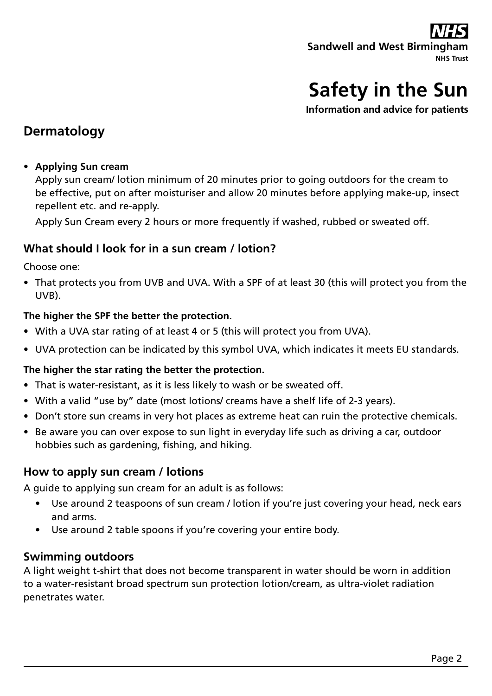# **Safety in the Sun**

**Information and advice for patients** 

## **Dermatology**

### **• Applying Sun cream**

Apply sun cream/ lotion minimum of 20 minutes prior to going outdoors for the cream to be effective, put on after moisturiser and allow 20 minutes before applying make-up, insect repellent etc. and re-apply.

Apply Sun Cream every 2 hours or more frequently if washed, rubbed or sweated off.

## **What should I look for in a sun cream / lotion?**

Choose one:

• That protects you from UVB and UVA. With a SPF of at least 30 (this will protect you from the UVB).

### **The higher the SPF the better the protection.**

- With a UVA star rating of at least 4 or 5 (this will protect you from UVA).
- UVA protection can be indicated by this symbol UVA, which indicates it meets EU standards.

## **The higher the star rating the better the protection.**

- That is water-resistant, as it is less likely to wash or be sweated off.
- With a valid "use by" date (most lotions/ creams have a shelf life of 2-3 years).
- Don't store sun creams in very hot places as extreme heat can ruin the protective chemicals.
- Be aware you can over expose to sun light in everyday life such as driving a car, outdoor hobbies such as gardening, fishing, and hiking.

## **How to apply sun cream / lotions**

A guide to applying sun cream for an adult is as follows:

- Use around 2 teaspoons of sun cream / lotion if you're just covering your head, neck ears and arms.
- Use around 2 table spoons if you're covering your entire body.

## **Swimming outdoors**

A light weight t-shirt that does not become transparent in water should be worn in addition to a water-resistant broad spectrum sun protection lotion/cream, as ultra-violet radiation penetrates water.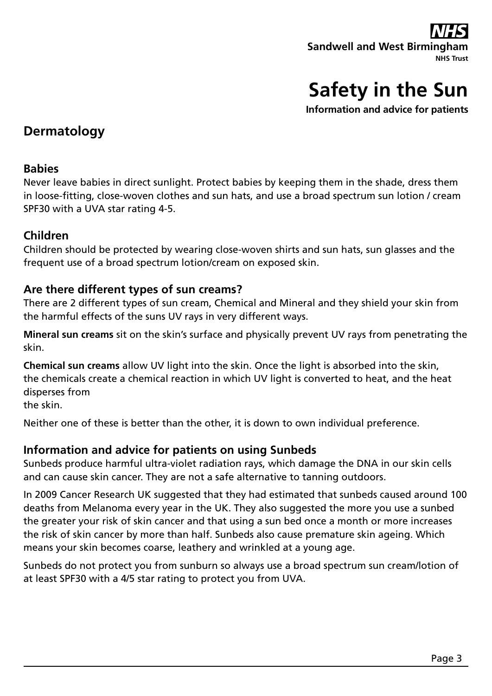

**Information and advice for patients** 

## **Dermatology**

## **Babies**

Never leave babies in direct sunlight. Protect babies by keeping them in the shade, dress them in loose-fitting, close-woven clothes and sun hats, and use a broad spectrum sun lotion / cream SPF30 with a UVA star rating 4-5.

## **Children**

Children should be protected by wearing close-woven shirts and sun hats, sun glasses and the frequent use of a broad spectrum lotion/cream on exposed skin.

## **Are there different types of sun creams?**

There are 2 different types of sun cream, Chemical and Mineral and they shield your skin from the harmful effects of the suns UV rays in very different ways.

**Mineral sun creams** sit on the skin's surface and physically prevent UV rays from penetrating the skin.

**Chemical sun creams** allow UV light into the skin. Once the light is absorbed into the skin, the chemicals create a chemical reaction in which UV light is converted to heat, and the heat disperses from

the skin.

Neither one of these is better than the other, it is down to own individual preference.

## **Information and advice for patients on using Sunbeds**

Sunbeds produce harmful ultra-violet radiation rays, which damage the DNA in our skin cells and can cause skin cancer. They are not a safe alternative to tanning outdoors.

In 2009 Cancer Research UK suggested that they had estimated that sunbeds caused around 100 deaths from Melanoma every year in the UK. They also suggested the more you use a sunbed the greater your risk of skin cancer and that using a sun bed once a month or more increases the risk of skin cancer by more than half. Sunbeds also cause premature skin ageing. Which means your skin becomes coarse, leathery and wrinkled at a young age.

Sunbeds do not protect you from sunburn so always use a broad spectrum sun cream/lotion of at least SPF30 with a 4/5 star rating to protect you from UVA.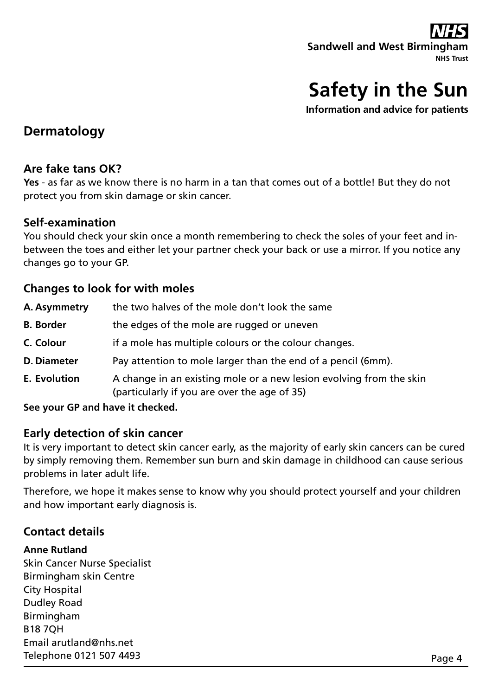

**Information and advice for patients** 

## **Dermatology**

## **Are fake tans OK?**

**Yes** - as far as we know there is no harm in a tan that comes out of a bottle! But they do not protect you from skin damage or skin cancer.

## **Self-examination**

You should check your skin once a month remembering to check the soles of your feet and inbetween the toes and either let your partner check your back or use a mirror. If you notice any changes go to your GP.

## **Changes to look for with moles**

| A. Asymmetry        | the two halves of the mole don't look the same                                                                      |
|---------------------|---------------------------------------------------------------------------------------------------------------------|
| <b>B.</b> Border    | the edges of the mole are rugged or uneven                                                                          |
| C. Colour           | if a mole has multiple colours or the colour changes.                                                               |
| <b>D. Diameter</b>  | Pay attention to mole larger than the end of a pencil (6mm).                                                        |
| <b>E.</b> Evolution | A change in an existing mole or a new lesion evolving from the skin<br>(particularly if you are over the age of 35) |

**See your GP and have it checked.**

## **Early detection of skin cancer**

It is very important to detect skin cancer early, as the majority of early skin cancers can be cured by simply removing them. Remember sun burn and skin damage in childhood can cause serious problems in later adult life.

Therefore, we hope it makes sense to know why you should protect yourself and your children and how important early diagnosis is.

## **Contact details**

#### **Anne Rutland**

Skin Cancer Nurse Specialist Birmingham skin Centre City Hospital Dudley Road Birmingham B18 7QH Email arutland@nhs.net Telephone 0121 507 4493 Page 4